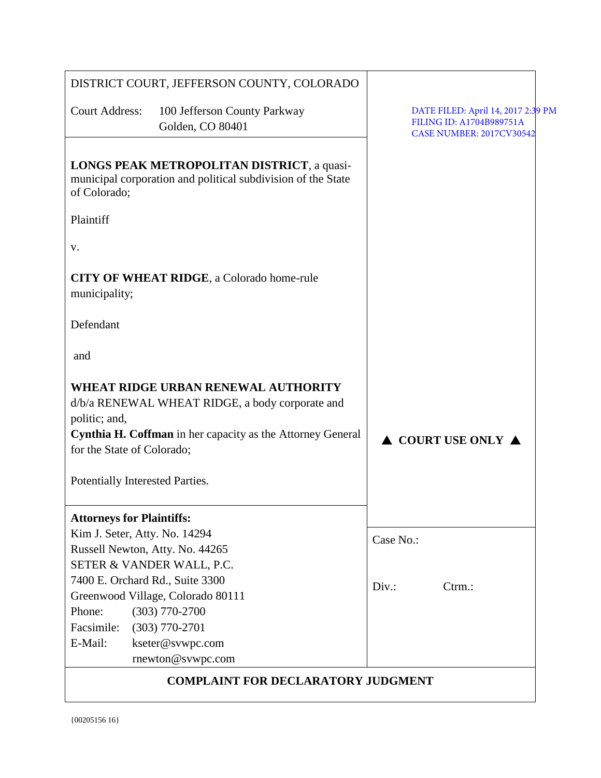| DISTRICT COURT, JEFFERSON COUNTY, COLORADO                                                                                                                                                          |                                                                                                   |
|-----------------------------------------------------------------------------------------------------------------------------------------------------------------------------------------------------|---------------------------------------------------------------------------------------------------|
|                                                                                                                                                                                                     |                                                                                                   |
| <b>Court Address:</b><br>100 Jefferson County Parkway<br>Golden, CO 80401                                                                                                                           | DATE FILED: April 14, 2017 2:39 PM<br>FILING ID: A1704B989751A<br><b>CASE NUMBER: 2017CV30542</b> |
| <b>LONGS PEAK METROPOLITAN DISTRICT, a quasi-</b><br>municipal corporation and political subdivision of the State<br>of Colorado;                                                                   |                                                                                                   |
| Plaintiff                                                                                                                                                                                           |                                                                                                   |
| v.                                                                                                                                                                                                  |                                                                                                   |
| <b>CITY OF WHEAT RIDGE, a Colorado home-rule</b><br>municipality;                                                                                                                                   |                                                                                                   |
| Defendant                                                                                                                                                                                           |                                                                                                   |
| and                                                                                                                                                                                                 |                                                                                                   |
| WHEAT RIDGE URBAN RENEWAL AUTHORITY<br>d/b/a RENEWAL WHEAT RIDGE, a body corporate and<br>politic; and,<br>Cynthia H. Coffman in her capacity as the Attorney General<br>for the State of Colorado; | $\triangle$ COURT USE ONLY $\triangle$                                                            |
| Potentially Interested Parties.                                                                                                                                                                     |                                                                                                   |
| <b>Attorneys for Plaintiffs:</b><br>Kim J. Seter, Atty. No. 14294<br>Russell Newton, Atty. No. 44265<br>SETER & VANDER WALL, P.C.                                                                   | Case No.:                                                                                         |
| 7400 E. Orchard Rd., Suite 3300<br>Greenwood Village, Colorado 80111<br>Phone:<br>$(303)$ 770-2700                                                                                                  | Div.<br>$C$ trm.:                                                                                 |
|                                                                                                                                                                                                     |                                                                                                   |
| Facsimile:<br>$(303)$ 770-2701<br>E-Mail:<br>kseter@svwpc.com<br>rnewton@svwpc.com                                                                                                                  |                                                                                                   |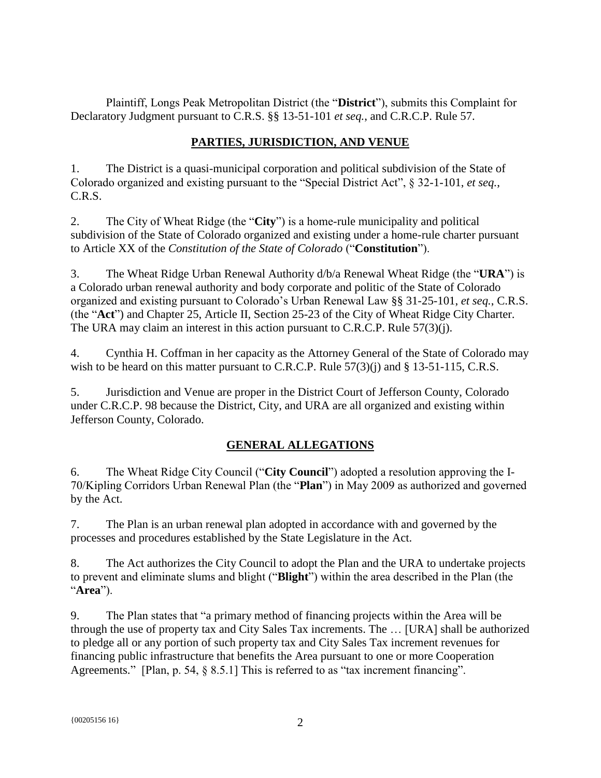Plaintiff, Longs Peak Metropolitan District (the "**District**"), submits this Complaint for Declaratory Judgment pursuant to C.R.S. §§ 13-51-101 *et seq.*, and C.R.C.P. Rule 57.

### **PARTIES, JURISDICTION, AND VENUE**

1. The District is a quasi-municipal corporation and political subdivision of the State of Colorado organized and existing pursuant to the "Special District Act", § 32-1-101, *et seq.*, C.R.S.

2. The City of Wheat Ridge (the "**City**") is a home-rule municipality and political subdivision of the State of Colorado organized and existing under a home-rule charter pursuant to Article XX of the *Constitution of the State of Colorado* ("**Constitution**").

3. The Wheat Ridge Urban Renewal Authority d/b/a Renewal Wheat Ridge (the "**URA**") is a Colorado urban renewal authority and body corporate and politic of the State of Colorado organized and existing pursuant to Colorado's Urban Renewal Law §§ 31-25-101, *et seq.*, C.R.S. (the "**Act**") and Chapter 25, Article II, Section 25-23 of the City of Wheat Ridge City Charter. The URA may claim an interest in this action pursuant to C.R.C.P. Rule 57(3)(j).

4. Cynthia H. Coffman in her capacity as the Attorney General of the State of Colorado may wish to be heard on this matter pursuant to C.R.C.P. Rule 57(3)(j) and § 13-51-115, C.R.S.

5. Jurisdiction and Venue are proper in the District Court of Jefferson County, Colorado under C.R.C.P. 98 because the District, City, and URA are all organized and existing within Jefferson County, Colorado.

## **GENERAL ALLEGATIONS**

6. The Wheat Ridge City Council ("**City Council**") adopted a resolution approving the I-70/Kipling Corridors Urban Renewal Plan (the "**Plan**") in May 2009 as authorized and governed by the Act.

7. The Plan is an urban renewal plan adopted in accordance with and governed by the processes and procedures established by the State Legislature in the Act.

8. The Act authorizes the City Council to adopt the Plan and the URA to undertake projects to prevent and eliminate slums and blight ("**Blight**") within the area described in the Plan (the "**Area**").

9. The Plan states that "a primary method of financing projects within the Area will be through the use of property tax and City Sales Tax increments. The … [URA] shall be authorized to pledge all or any portion of such property tax and City Sales Tax increment revenues for financing public infrastructure that benefits the Area pursuant to one or more Cooperation Agreements." [Plan, p. 54, § 8.5.1] This is referred to as "tax increment financing".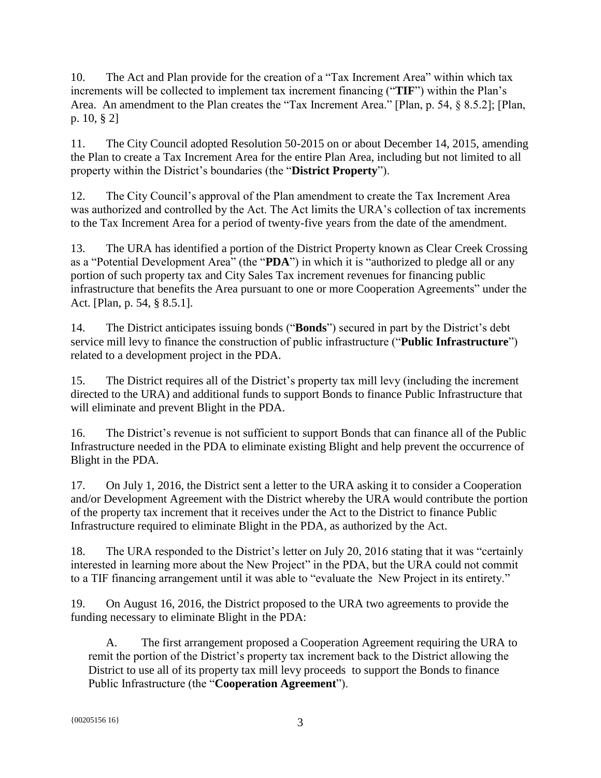10. The Act and Plan provide for the creation of a "Tax Increment Area" within which tax increments will be collected to implement tax increment financing ("**TIF**") within the Plan's Area. An amendment to the Plan creates the "Tax Increment Area." [Plan, p. 54, § 8.5.2]; [Plan, p. 10, § 2]

11. The City Council adopted Resolution 50-2015 on or about December 14, 2015, amending the Plan to create a Tax Increment Area for the entire Plan Area, including but not limited to all property within the District's boundaries (the "**District Property**").

12. The City Council's approval of the Plan amendment to create the Tax Increment Area was authorized and controlled by the Act. The Act limits the URA's collection of tax increments to the Tax Increment Area for a period of twenty-five years from the date of the amendment.

13. The URA has identified a portion of the District Property known as Clear Creek Crossing as a "Potential Development Area" (the "**PDA**") in which it is "authorized to pledge all or any portion of such property tax and City Sales Tax increment revenues for financing public infrastructure that benefits the Area pursuant to one or more Cooperation Agreements" under the Act. [Plan, p. 54, § 8.5.1].

14. The District anticipates issuing bonds ("**Bonds**") secured in part by the District's debt service mill levy to finance the construction of public infrastructure ("**Public Infrastructure**") related to a development project in the PDA.

15. The District requires all of the District's property tax mill levy (including the increment directed to the URA) and additional funds to support Bonds to finance Public Infrastructure that will eliminate and prevent Blight in the PDA.

16. The District's revenue is not sufficient to support Bonds that can finance all of the Public Infrastructure needed in the PDA to eliminate existing Blight and help prevent the occurrence of Blight in the PDA.

17. On July 1, 2016, the District sent a letter to the URA asking it to consider a Cooperation and/or Development Agreement with the District whereby the URA would contribute the portion of the property tax increment that it receives under the Act to the District to finance Public Infrastructure required to eliminate Blight in the PDA, as authorized by the Act.

18. The URA responded to the District's letter on July 20, 2016 stating that it was "certainly interested in learning more about the New Project" in the PDA, but the URA could not commit to a TIF financing arrangement until it was able to "evaluate the New Project in its entirety."

19. On August 16, 2016, the District proposed to the URA two agreements to provide the funding necessary to eliminate Blight in the PDA:

A. The first arrangement proposed a Cooperation Agreement requiring the URA to remit the portion of the District's property tax increment back to the District allowing the District to use all of its property tax mill levy proceeds to support the Bonds to finance Public Infrastructure (the "**Cooperation Agreement**").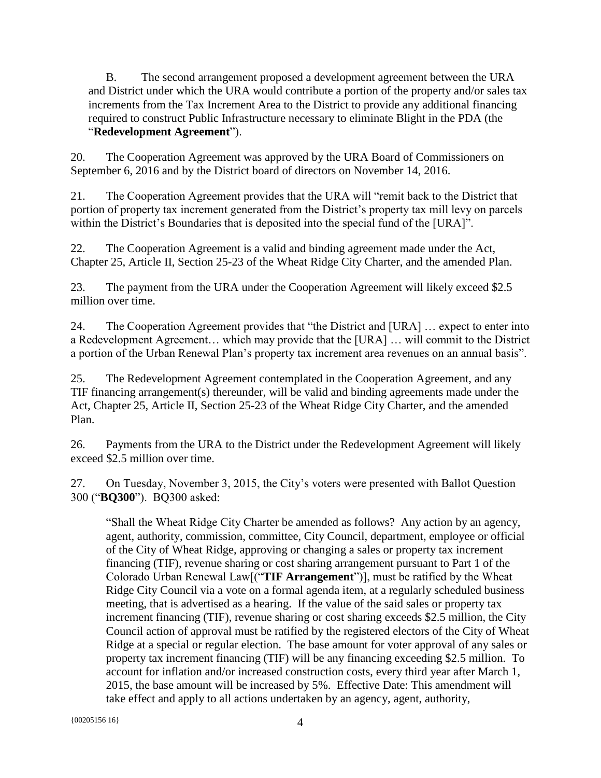B. The second arrangement proposed a development agreement between the URA and District under which the URA would contribute a portion of the property and/or sales tax increments from the Tax Increment Area to the District to provide any additional financing required to construct Public Infrastructure necessary to eliminate Blight in the PDA (the "**Redevelopment Agreement**").

20. The Cooperation Agreement was approved by the URA Board of Commissioners on September 6, 2016 and by the District board of directors on November 14, 2016.

21. The Cooperation Agreement provides that the URA will "remit back to the District that portion of property tax increment generated from the District's property tax mill levy on parcels within the District's Boundaries that is deposited into the special fund of the [URA]".

22. The Cooperation Agreement is a valid and binding agreement made under the Act, Chapter 25, Article II, Section 25-23 of the Wheat Ridge City Charter, and the amended Plan.

23. The payment from the URA under the Cooperation Agreement will likely exceed \$2.5 million over time.

24. The Cooperation Agreement provides that "the District and [URA] … expect to enter into a Redevelopment Agreement… which may provide that the [URA] … will commit to the District a portion of the Urban Renewal Plan's property tax increment area revenues on an annual basis".

25. The Redevelopment Agreement contemplated in the Cooperation Agreement, and any TIF financing arrangement(s) thereunder, will be valid and binding agreements made under the Act, Chapter 25, Article II, Section 25-23 of the Wheat Ridge City Charter, and the amended Plan.

26. Payments from the URA to the District under the Redevelopment Agreement will likely exceed \$2.5 million over time.

27. On Tuesday, November 3, 2015, the City's voters were presented with Ballot Question 300 ("**BQ300**"). BQ300 asked:

"Shall the Wheat Ridge City Charter be amended as follows? Any action by an agency, agent, authority, commission, committee, City Council, department, employee or official of the City of Wheat Ridge, approving or changing a sales or property tax increment financing (TIF), revenue sharing or cost sharing arrangement pursuant to Part 1 of the Colorado Urban Renewal Law[("**TIF Arrangement**")], must be ratified by the Wheat Ridge City Council via a vote on a formal agenda item, at a regularly scheduled business meeting, that is advertised as a hearing. If the value of the said sales or property tax increment financing (TIF), revenue sharing or cost sharing exceeds \$2.5 million, the City Council action of approval must be ratified by the registered electors of the City of Wheat Ridge at a special or regular election. The base amount for voter approval of any sales or property tax increment financing (TIF) will be any financing exceeding \$2.5 million. To account for inflation and/or increased construction costs, every third year after March 1, 2015, the base amount will be increased by 5%. Effective Date: This amendment will take effect and apply to all actions undertaken by an agency, agent, authority,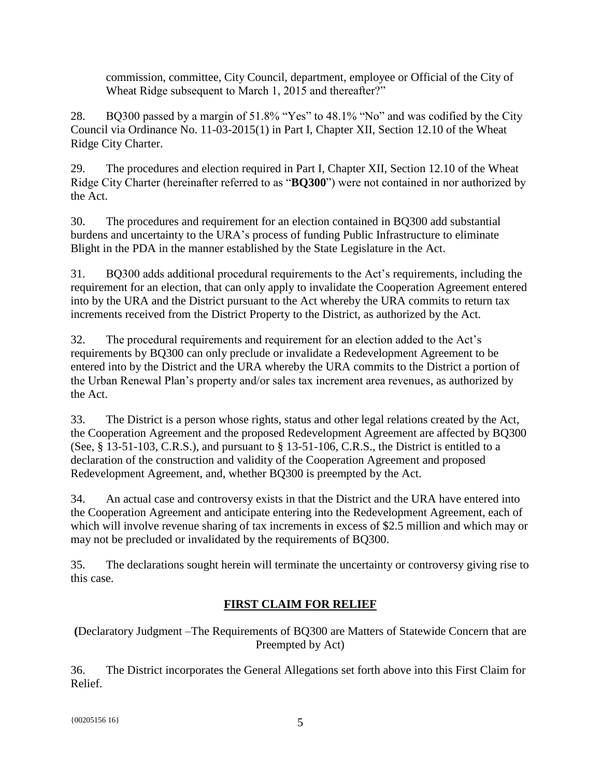commission, committee, City Council, department, employee or Official of the City of Wheat Ridge subsequent to March 1, 2015 and thereafter?"

28. BQ300 passed by a margin of 51.8% "Yes" to 48.1% "No" and was codified by the City Council via Ordinance No. 11-03-2015(1) in Part I, Chapter XII, Section 12.10 of the Wheat Ridge City Charter.

29. The procedures and election required in Part I, Chapter XII, Section 12.10 of the Wheat Ridge City Charter (hereinafter referred to as "**BQ300**") were not contained in nor authorized by the Act.

30. The procedures and requirement for an election contained in BQ300 add substantial burdens and uncertainty to the URA's process of funding Public Infrastructure to eliminate Blight in the PDA in the manner established by the State Legislature in the Act.

31. BQ300 adds additional procedural requirements to the Act's requirements, including the requirement for an election, that can only apply to invalidate the Cooperation Agreement entered into by the URA and the District pursuant to the Act whereby the URA commits to return tax increments received from the District Property to the District, as authorized by the Act.

32. The procedural requirements and requirement for an election added to the Act's requirements by BQ300 can only preclude or invalidate a Redevelopment Agreement to be entered into by the District and the URA whereby the URA commits to the District a portion of the Urban Renewal Plan's property and/or sales tax increment area revenues, as authorized by the Act.

33. The District is a person whose rights, status and other legal relations created by the Act, the Cooperation Agreement and the proposed Redevelopment Agreement are affected by BQ300 (See,  $\S$  13-51-103, C.R.S.), and pursuant to  $\S$  13-51-106, C.R.S., the District is entitled to a declaration of the construction and validity of the Cooperation Agreement and proposed Redevelopment Agreement, and, whether BQ300 is preempted by the Act.

34. An actual case and controversy exists in that the District and the URA have entered into the Cooperation Agreement and anticipate entering into the Redevelopment Agreement, each of which will involve revenue sharing of tax increments in excess of \$2.5 million and which may or may not be precluded or invalidated by the requirements of BQ300.

35. The declarations sought herein will terminate the uncertainty or controversy giving rise to this case.

# **FIRST CLAIM FOR RELIEF**

**(**Declaratory Judgment –The Requirements of BQ300 are Matters of Statewide Concern that are Preempted by Act)

36. The District incorporates the General Allegations set forth above into this First Claim for Relief.

```
\{00205156\ 16\} 5
```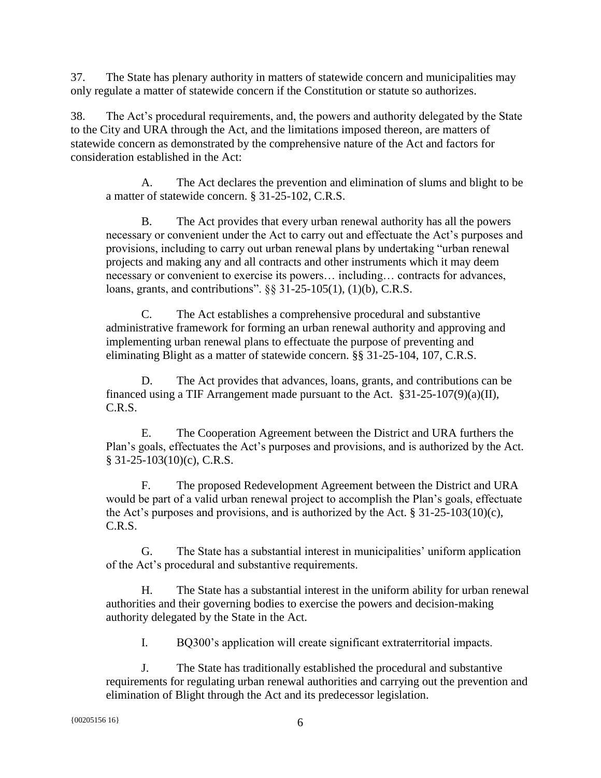37. The State has plenary authority in matters of statewide concern and municipalities may only regulate a matter of statewide concern if the Constitution or statute so authorizes.

38. The Act's procedural requirements, and, the powers and authority delegated by the State to the City and URA through the Act, and the limitations imposed thereon, are matters of statewide concern as demonstrated by the comprehensive nature of the Act and factors for consideration established in the Act:

A. The Act declares the prevention and elimination of slums and blight to be a matter of statewide concern. § 31-25-102, C.R.S.

B. The Act provides that every urban renewal authority has all the powers necessary or convenient under the Act to carry out and effectuate the Act's purposes and provisions, including to carry out urban renewal plans by undertaking "urban renewal projects and making any and all contracts and other instruments which it may deem necessary or convenient to exercise its powers… including… contracts for advances, loans, grants, and contributions". §§ 31-25-105(1), (1)(b), C.R.S.

C. The Act establishes a comprehensive procedural and substantive administrative framework for forming an urban renewal authority and approving and implementing urban renewal plans to effectuate the purpose of preventing and eliminating Blight as a matter of statewide concern. §§ 31-25-104, 107, C.R.S.

D. The Act provides that advances, loans, grants, and contributions can be financed using a TIF Arrangement made pursuant to the Act. §31-25-107(9)(a)(II), C.R.S.

E. The Cooperation Agreement between the District and URA furthers the Plan's goals, effectuates the Act's purposes and provisions, and is authorized by the Act. § 31-25-103(10)(c), C.R.S.

F. The proposed Redevelopment Agreement between the District and URA would be part of a valid urban renewal project to accomplish the Plan's goals, effectuate the Act's purposes and provisions, and is authorized by the Act. § 31-25-103(10)(c), C.R.S.

G. The State has a substantial interest in municipalities' uniform application of the Act's procedural and substantive requirements.

H. The State has a substantial interest in the uniform ability for urban renewal authorities and their governing bodies to exercise the powers and decision-making authority delegated by the State in the Act.

I. BQ300's application will create significant extraterritorial impacts.

J. The State has traditionally established the procedural and substantive requirements for regulating urban renewal authorities and carrying out the prevention and elimination of Blight through the Act and its predecessor legislation.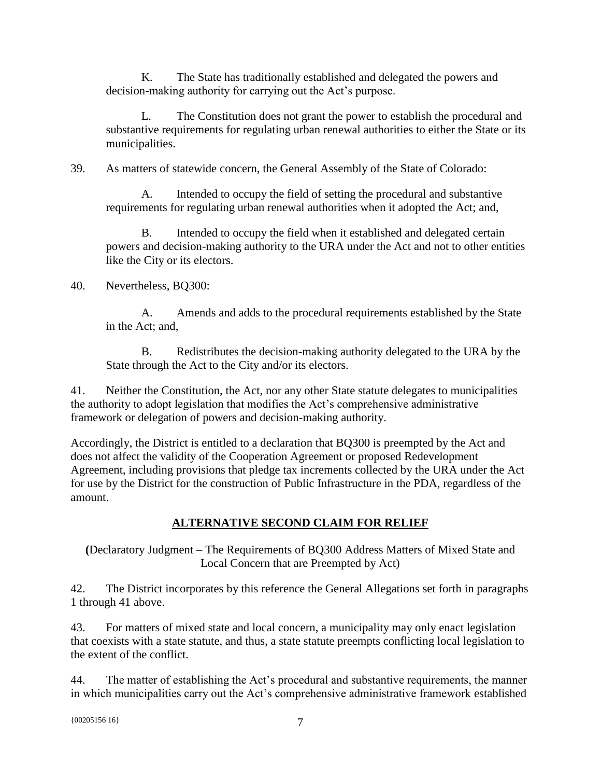K. The State has traditionally established and delegated the powers and decision-making authority for carrying out the Act's purpose.

L. The Constitution does not grant the power to establish the procedural and substantive requirements for regulating urban renewal authorities to either the State or its municipalities.

39. As matters of statewide concern, the General Assembly of the State of Colorado:

A. Intended to occupy the field of setting the procedural and substantive requirements for regulating urban renewal authorities when it adopted the Act; and,

B. Intended to occupy the field when it established and delegated certain powers and decision-making authority to the URA under the Act and not to other entities like the City or its electors.

## 40. Nevertheless, BQ300:

A. Amends and adds to the procedural requirements established by the State in the Act; and,

B. Redistributes the decision-making authority delegated to the URA by the State through the Act to the City and/or its electors.

41. Neither the Constitution, the Act, nor any other State statute delegates to municipalities the authority to adopt legislation that modifies the Act's comprehensive administrative framework or delegation of powers and decision-making authority.

Accordingly, the District is entitled to a declaration that BQ300 is preempted by the Act and does not affect the validity of the Cooperation Agreement or proposed Redevelopment Agreement, including provisions that pledge tax increments collected by the URA under the Act for use by the District for the construction of Public Infrastructure in the PDA, regardless of the amount.

## **ALTERNATIVE SECOND CLAIM FOR RELIEF**

**(**Declaratory Judgment – The Requirements of BQ300 Address Matters of Mixed State and Local Concern that are Preempted by Act)

42. The District incorporates by this reference the General Allegations set forth in paragraphs 1 through 41 above.

43. For matters of mixed state and local concern, a municipality may only enact legislation that coexists with a state statute, and thus, a state statute preempts conflicting local legislation to the extent of the conflict.

44. The matter of establishing the Act's procedural and substantive requirements, the manner in which municipalities carry out the Act's comprehensive administrative framework established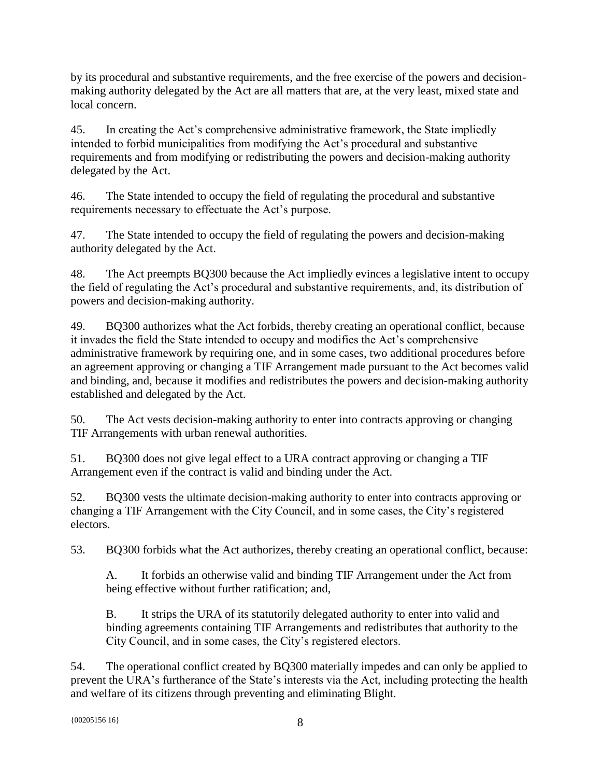by its procedural and substantive requirements, and the free exercise of the powers and decisionmaking authority delegated by the Act are all matters that are, at the very least, mixed state and local concern.

45. In creating the Act's comprehensive administrative framework, the State impliedly intended to forbid municipalities from modifying the Act's procedural and substantive requirements and from modifying or redistributing the powers and decision-making authority delegated by the Act.

46. The State intended to occupy the field of regulating the procedural and substantive requirements necessary to effectuate the Act's purpose.

47. The State intended to occupy the field of regulating the powers and decision-making authority delegated by the Act.

48. The Act preempts BQ300 because the Act impliedly evinces a legislative intent to occupy the field of regulating the Act's procedural and substantive requirements, and, its distribution of powers and decision-making authority.

49. BQ300 authorizes what the Act forbids, thereby creating an operational conflict, because it invades the field the State intended to occupy and modifies the Act's comprehensive administrative framework by requiring one, and in some cases, two additional procedures before an agreement approving or changing a TIF Arrangement made pursuant to the Act becomes valid and binding, and, because it modifies and redistributes the powers and decision-making authority established and delegated by the Act.

50. The Act vests decision-making authority to enter into contracts approving or changing TIF Arrangements with urban renewal authorities.

51. BQ300 does not give legal effect to a URA contract approving or changing a TIF Arrangement even if the contract is valid and binding under the Act.

52. BQ300 vests the ultimate decision-making authority to enter into contracts approving or changing a TIF Arrangement with the City Council, and in some cases, the City's registered electors.

53. BQ300 forbids what the Act authorizes, thereby creating an operational conflict, because:

A. It forbids an otherwise valid and binding TIF Arrangement under the Act from being effective without further ratification; and,

B. It strips the URA of its statutorily delegated authority to enter into valid and binding agreements containing TIF Arrangements and redistributes that authority to the City Council, and in some cases, the City's registered electors.

54. The operational conflict created by BQ300 materially impedes and can only be applied to prevent the URA's furtherance of the State's interests via the Act, including protecting the health and welfare of its citizens through preventing and eliminating Blight.